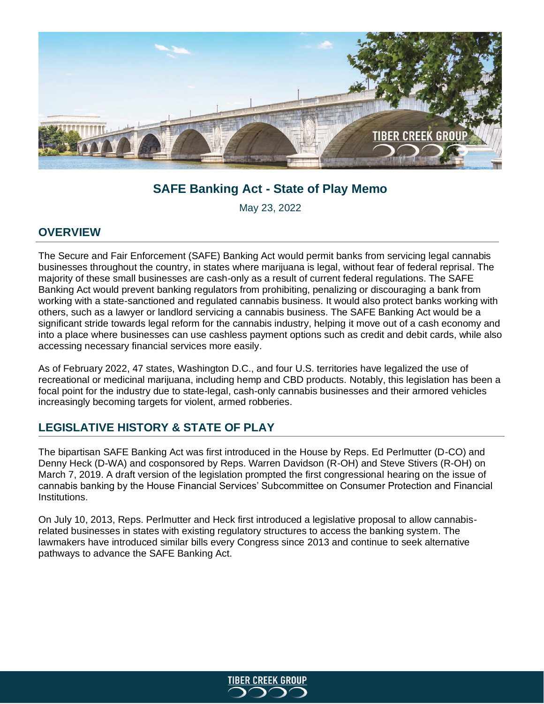

# **SAFE Banking Act - State of Play Memo**

May 23, 2022

### **OVERVIEW**

The Secure and Fair Enforcement (SAFE) Banking Act would permit banks from servicing legal cannabis businesses throughout the country, in states where marijuana is legal, without fear of federal reprisal. The majority of these small businesses are cash-only as a result of current federal regulations. The SAFE Banking Act would prevent banking regulators from prohibiting, penalizing or discouraging a bank from working with a state-sanctioned and regulated cannabis business. It would also protect banks working with others, such as a lawyer or landlord servicing a cannabis business. The SAFE Banking Act would be a significant stride towards legal reform for the cannabis industry, helping it move out of a cash economy and into a place where businesses can use cashless payment options such as credit and debit cards, while also accessing necessary financial services more easily.

As of February 2022, 47 states, Washington D.C., and four U.S. territories have legalized the use of recreational or medicinal marijuana, including hemp and CBD products. Notably, this legislation has been a focal point for the industry due to state-legal, cash-only cannabis businesses and their armored vehicles increasingly becoming targets for violent, armed robberies.

## **LEGISLATIVE HISTORY & STATE OF PLAY**

The bipartisan SAFE Banking Act was first introduced in the House by Reps. Ed Perlmutter (D-CO) and Denny Heck (D-WA) and cosponsored by Reps. Warren Davidson (R-OH) and Steve Stivers (R-OH) on March 7, 2019. A draft version of the legislation prompted the first congressional hearing on the issue of cannabis banking by the House Financial Services' Subcommittee on Consumer Protection and Financial Institutions.

On July 10, 2013, Reps. Perlmutter and Heck first introduced a legislative proposal to allow cannabisrelated businesses in states with existing regulatory structures to access the banking system. The lawmakers have introduced similar bills every Congress since 2013 and continue to seek alternative pathways to advance the SAFE Banking Act.

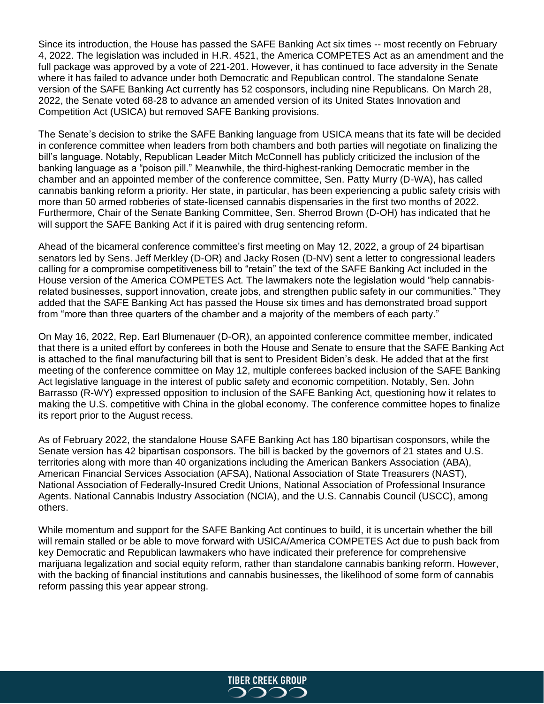Since its introduction, the House has passed the SAFE Banking Act six times -- most recently on February 4, 2022. The legislation was included in H.R. 4521, the America COMPETES Act as an amendment and the full package was approved by a vote of 221-201. However, it has continued to face adversity in the Senate where it has failed to advance under both Democratic and Republican control. The standalone Senate version of the SAFE Banking Act currently has 52 cosponsors, including nine Republicans. On March 28, 2022, the Senate voted 68-28 to advance an amended version of its United States Innovation and Competition Act (USICA) but removed SAFE Banking provisions.

The Senate's decision to strike the SAFE Banking language from USICA means that its fate will be decided in conference committee when leaders from both chambers and both parties will negotiate on finalizing the bill's language. Notably, Republican Leader Mitch McConnell has publicly criticized the inclusion of the banking language as a "poison pill." Meanwhile, the third-highest-ranking Democratic member in the chamber and an appointed member of the conference committee, Sen. Patty Murry (D-WA), has called cannabis banking reform a priority. Her state, in particular, has been experiencing a public safety crisis with more than 50 armed robberies of state-licensed cannabis dispensaries in the first two months of 2022. Furthermore, Chair of the Senate Banking Committee, Sen. Sherrod Brown (D-OH) has indicated that he will support the SAFE Banking Act if it is paired with drug sentencing reform.

Ahead of the bicameral conference committee's first meeting on May 12, 2022, a group of 24 bipartisan senators led by Sens. Jeff Merkley (D-OR) and Jacky Rosen (D-NV) sent a letter to congressional leaders calling for a compromise competitiveness bill to "retain" the text of the SAFE Banking Act included in the House version of the America COMPETES Act. The lawmakers note the legislation would "help cannabisrelated businesses, support innovation, create jobs, and strengthen public safety in our communities." They added that the SAFE Banking Act has passed the House six times and has demonstrated broad support from "more than three quarters of the chamber and a majority of the members of each party."

On May 16, 2022, Rep. Earl Blumenauer (D-OR), an appointed conference committee member, indicated that there is a united effort by conferees in both the House and Senate to ensure that the SAFE Banking Act is attached to the final manufacturing bill that is sent to President Biden's desk. He added that at the first meeting of the conference committee on May 12, multiple conferees backed inclusion of the SAFE Banking Act legislative language in the interest of public safety and economic competition. Notably, Sen. John Barrasso (R-WY) expressed opposition to inclusion of the SAFE Banking Act, questioning how it relates to making the U.S. competitive with China in the global economy. The conference committee hopes to finalize its report prior to the August recess.

As of February 2022, the standalone House SAFE Banking Act has 180 bipartisan cosponsors, while the Senate version has 42 bipartisan cosponsors. The bill is backed by the governors of 21 states and U.S. territories along with more than 40 organizations including the American Bankers Association (ABA), American Financial Services Association (AFSA), National Association of State Treasurers (NAST), National Association of Federally-Insured Credit Unions, National Association of Professional Insurance Agents. National Cannabis Industry Association (NCIA), and the U.S. Cannabis Council (USCC), among others.

While momentum and support for the SAFE Banking Act continues to build, it is uncertain whether the bill will remain stalled or be able to move forward with USICA/America COMPETES Act due to push back from key Democratic and Republican lawmakers who have indicated their preference for comprehensive marijuana legalization and social equity reform, rather than standalone cannabis banking reform. However, with the backing of financial institutions and cannabis businesses, the likelihood of some form of cannabis reform passing this year appear strong.

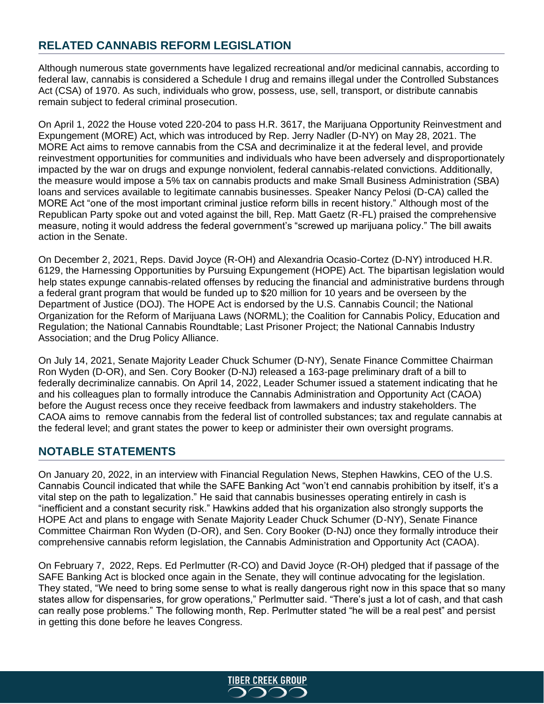# **RELATED CANNABIS REFORM LEGISLATION**

Although numerous state governments have legalized recreational and/or medicinal cannabis, according to federal law, cannabis is considered a Schedule I drug and remains illegal under the Controlled Substances Act (CSA) of 1970. As such, individuals who grow, possess, use, sell, transport, or distribute cannabis remain subject to federal criminal prosecution.

On April 1, 2022 the House voted 220-204 to pass H.R. 3617, the Marijuana Opportunity Reinvestment and Expungement (MORE) Act, which was introduced by Rep. Jerry Nadler (D-NY) on May 28, 2021. The MORE Act aims to remove cannabis from the CSA and decriminalize it at the federal level, and provide reinvestment opportunities for communities and individuals who have been adversely and disproportionately impacted by the war on drugs and expunge nonviolent, federal cannabis-related convictions. Additionally, the measure would impose a 5% tax on cannabis products and make Small Business Administration (SBA) loans and services available to legitimate cannabis businesses. Speaker Nancy Pelosi (D-CA) called the MORE Act "one of the most important criminal justice reform bills in recent history." Although most of the Republican Party spoke out and voted against the bill, Rep. Matt Gaetz (R-FL) praised the comprehensive measure, noting it would address the federal government's "screwed up marijuana policy." The bill awaits action in the Senate.

On December 2, 2021, Reps. David Joyce (R-OH) and Alexandria Ocasio-Cortez (D-NY) introduced H.R. 6129, the Harnessing Opportunities by Pursuing Expungement (HOPE) Act. The bipartisan legislation would help states expunge cannabis-related offenses by reducing the financial and administrative burdens through a federal grant program that would be funded up to \$20 million for 10 years and be overseen by the Department of Justice (DOJ). The HOPE Act is endorsed by the U.S. Cannabis Council; the National Organization for the Reform of Marijuana Laws (NORML); the Coalition for Cannabis Policy, Education and Regulation; the National Cannabis Roundtable; Last Prisoner Project; the National Cannabis Industry Association; and the Drug Policy Alliance.

On July 14, 2021, Senate Majority Leader Chuck Schumer (D-NY), Senate Finance Committee Chairman Ron Wyden (D-OR), and Sen. Cory Booker (D-NJ) released a 163-page preliminary draft of a bill to federally decriminalize cannabis. On April 14, 2022, Leader Schumer issued a statement indicating that he and his colleagues plan to formally introduce the Cannabis Administration and Opportunity Act (CAOA) before the August recess once they receive feedback from lawmakers and industry stakeholders. The CAOA aims to remove cannabis from the federal list of controlled substances; tax and regulate cannabis at the federal level; and grant states the power to keep or administer their own oversight programs.

### **NOTABLE STATEMENTS**

On January 20, 2022, in an interview with Financial Regulation News, Stephen Hawkins, CEO of the U.S. Cannabis Council indicated that while the SAFE Banking Act "won't end cannabis prohibition by itself, it's a vital step on the path to legalization." He said that cannabis businesses operating entirely in cash is "inefficient and a constant security risk." Hawkins added that his organization also strongly supports the HOPE Act and plans to engage with Senate Majority Leader Chuck Schumer (D-NY), Senate Finance Committee Chairman Ron Wyden (D-OR), and Sen. Cory Booker (D-NJ) once they formally introduce their comprehensive cannabis reform legislation, the Cannabis Administration and Opportunity Act (CAOA).

On February 7, 2022, Reps. Ed Perlmutter (R-CO) and David Joyce (R-OH) pledged that if passage of the SAFE Banking Act is blocked once again in the Senate, they will continue advocating for the legislation. They stated, "We need to bring some sense to what is really dangerous right now in this space that so many states allow for dispensaries, for grow operations," Perlmutter said. "There's just a lot of cash, and that cash can really pose problems." The following month, Rep. Perlmutter stated "he will be a real pest" and persist in getting this done before he leaves Congress.